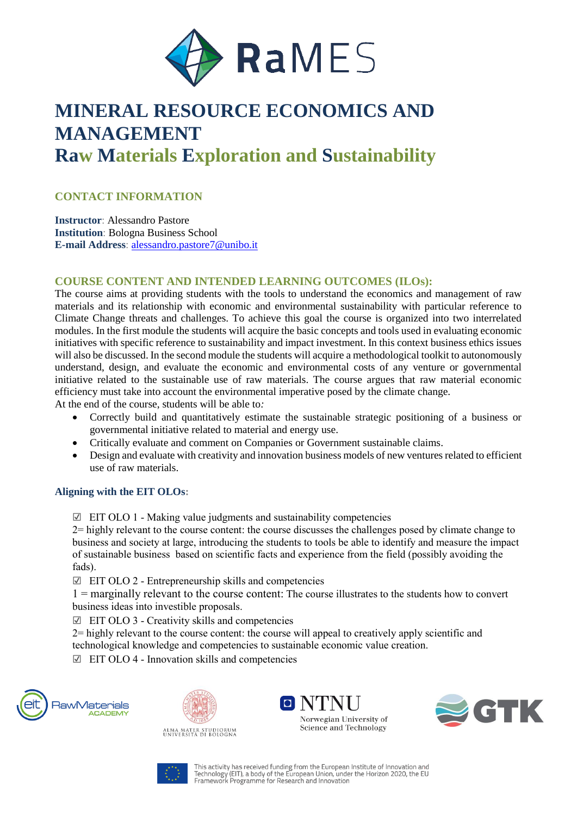

# **MINERAL RESOURCE ECONOMICS AND MANAGEMENT Raw Materials Exploration and Sustainability**

## **CONTACT INFORMATION**

**Instructor**: Alessandro Pastore **Institution**: Bologna Business School **E-mail Address**: [alessandro.pastore7@unibo.it](mailto:alessandro.pastore7@unibo.it)

### **COURSE CONTENT AND INTENDED LEARNING OUTCOMES (ILOs):**

The course aims at providing students with the tools to understand the economics and management of raw materials and its relationship with economic and environmental sustainability with particular reference to Climate Change threats and challenges. To achieve this goal the course is organized into two interrelated modules. In the first module the students will acquire the basic concepts and tools used in evaluating economic initiatives with specific reference to sustainability and impact investment. In this context business ethics issues will also be discussed. In the second module the students will acquire a methodological toolkit to autonomously understand, design, and evaluate the economic and environmental costs of any venture or governmental initiative related to the sustainable use of raw materials. The course argues that raw material economic efficiency must take into account the environmental imperative posed by the climate change.

At the end of the course, students will be able to*:*

- Correctly build and quantitatively estimate the sustainable strategic positioning of a business or governmental initiative related to material and energy use.
- Critically evaluate and comment on Companies or Government sustainable claims.
- Design and evaluate with creativity and innovation business models of new ventures related to efficient use of raw materials.

#### **Aligning with the EIT OLOs:**

 $\boxtimes$  EIT OLO 1 - Making value judgments and sustainability competencies

2= highly relevant to the course content: the course discusses the challenges posed by climate change to business and society at large, introducing the students to tools be able to identify and measure the impact of sustainable business based on scientific facts and experience from the field (possibly avoiding the fads).

☑ EIT OLO 2 - Entrepreneurship skills and competencies

1 = marginally relevant to the course content: The course illustrates to the students how to convert business ideas into investible proposals.

 $\Box$  EIT OLO 3 - Creativity skills and competencies

2= highly relevant to the course content: the course will appeal to creatively apply scientific and technological knowledge and competencies to sustainable economic value creation.

 $\boxtimes$  EIT OLO 4 - Innovation skills and competencies





ALMA MATER STUDIORUM<br>UNIVERSITÀ DI BOLOGNA





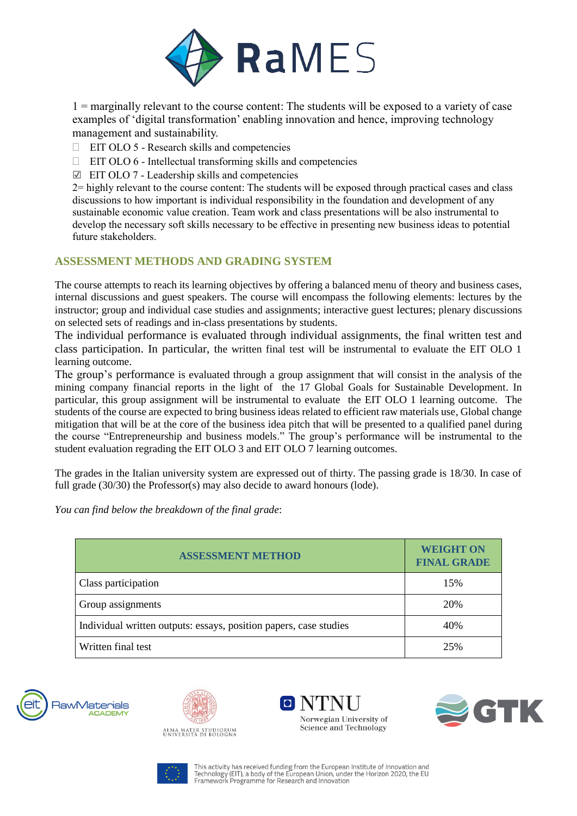

1 = marginally relevant to the course content: The students will be exposed to a variety of case examples of 'digital transformation' enabling innovation and hence, improving technology management and sustainability.

- $\Box$  EIT OLO 5 Research skills and competencies
- $\Box$  EIT OLO 6 Intellectual transforming skills and competencies
- ☑ EIT OLO 7 Leadership skills and competencies

2= highly relevant to the course content: The students will be exposed through practical cases and class discussions to how important is individual responsibility in the foundation and development of any sustainable economic value creation. Team work and class presentations will be also instrumental to develop the necessary soft skills necessary to be effective in presenting new business ideas to potential future stakeholders.

## **ASSESSMENT METHODS AND GRADING SYSTEM**

The course attempts to reach its learning objectives by offering a balanced menu of theory and business cases, internal discussions and guest speakers. The course will encompass the following elements: lectures by the instructor; group and individual case studies and assignments; interactive guest lectures; plenary discussions on selected sets of readings and in-class presentations by students.

The individual performance is evaluated through individual assignments, the final written test and class participation. In particular, the written final test will be instrumental to evaluate the EIT OLO 1 learning outcome.

The group's performance is evaluated through a group assignment that will consist in the analysis of the mining company financial reports in the light of the 17 Global Goals for Sustainable Development. In particular, this group assignment will be instrumental to evaluate the EIT OLO 1 learning outcome. The students of the course are expected to bring business ideas related to efficient raw materials use, Global change mitigation that will be at the core of the business idea pitch that will be presented to a qualified panel during the course "Entrepreneurship and business models." The group's performance will be instrumental to the student evaluation regrading the EIT OLO 3 and EIT OLO 7 learning outcomes.

The grades in the Italian university system are expressed out of thirty. The passing grade is 18/30. In case of full grade (30/30) the Professor(s) may also decide to award honours (lode).

*You can find below the breakdown of the final grade*:

| <b>ASSESSMENT METHOD</b>                                          | <b>WEIGHT ON</b><br><b>FINAL GRADE</b> |
|-------------------------------------------------------------------|----------------------------------------|
| Class participation                                               | 15%                                    |
| Group assignments                                                 | 20%                                    |
| Individual written outputs: essays, position papers, case studies | 40%                                    |
| Written final test                                                | 25%                                    |











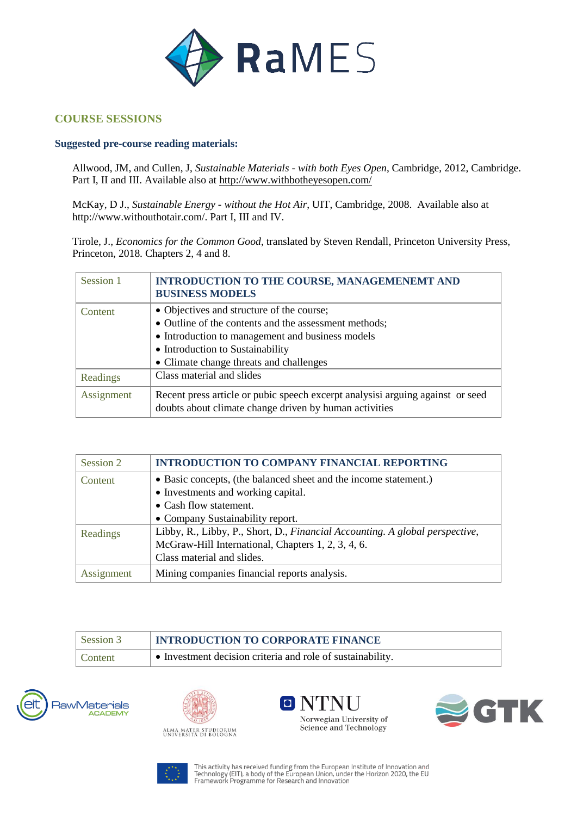

## **COURSE SESSIONS**

#### **Suggested pre-course reading materials:**

Allwood, JM, and Cullen, J, *Sustainable Materials - with both Eyes Open*, Cambridge, 2012, Cambridge. Part I, II and III. Available also at<http://www.withbotheyesopen.com/>

McKay, D J., *Sustainable Energy - without the Hot Air*, UIT, Cambridge, 2008. Available also at http://www.withouthotair.com/. Part I, III and IV.

Tirole, J., *Economics for the Common Good*, translated by Steven Rendall, Princeton University Press, Princeton, 2018. Chapters 2, 4 and 8.

| Session 1  | <b>INTRODUCTION TO THE COURSE, MANAGEMENEMT AND</b><br><b>BUSINESS MODELS</b>                                                                                                                                                         |
|------------|---------------------------------------------------------------------------------------------------------------------------------------------------------------------------------------------------------------------------------------|
| Content    | • Objectives and structure of the course;<br>• Outline of the contents and the assessment methods;<br>• Introduction to management and business models<br>• Introduction to Sustainability<br>• Climate change threats and challenges |
| Readings   | Class material and slides                                                                                                                                                                                                             |
| Assignment | Recent press article or pubic speech excerpt analysisi arguing against or seed<br>doubts about climate change driven by human activities                                                                                              |

| Session 2  | <b>INTRODUCTION TO COMPANY FINANCIAL REPORTING</b>                           |
|------------|------------------------------------------------------------------------------|
| Content    | • Basic concepts, (the balanced sheet and the income statement.)             |
|            | • Investments and working capital.                                           |
|            | • Cash flow statement.                                                       |
|            | • Company Sustainability report.                                             |
| Readings   | Libby, R., Libby, P., Short, D., Financial Accounting. A global perspective, |
|            | McGraw-Hill International, Chapters 1, 2, 3, 4, 6.                           |
|            | Class material and slides.                                                   |
| Assignment | Mining companies financial reports analysis.                                 |

| Session 3 | <b>INTRODUCTION TO CORPORATE FINANCE</b>                   |
|-----------|------------------------------------------------------------|
| Content   | • Investment decision criteria and role of sustainability. |









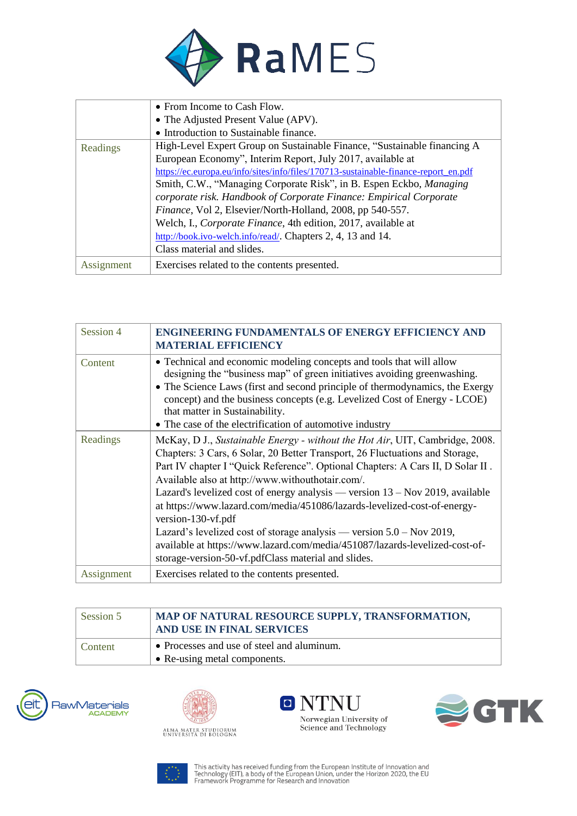

|            | • From Income to Cash Flow.                                                         |
|------------|-------------------------------------------------------------------------------------|
|            | • The Adjusted Present Value (APV).                                                 |
|            | • Introduction to Sustainable finance.                                              |
| Readings   | High-Level Expert Group on Sustainable Finance, "Sustainable financing A            |
|            | European Economy", Interim Report, July 2017, available at                          |
|            | https://ec.europa.eu/info/sites/info/files/170713-sustainable-finance-report en.pdf |
|            | Smith, C.W., "Managing Corporate Risk", in B. Espen Eckbo, <i>Managing</i>          |
|            | corporate risk. Handbook of Corporate Finance: Empirical Corporate                  |
|            | Finance, Vol 2, Elsevier/North-Holland, 2008, pp 540-557.                           |
|            | Welch, I., Corporate Finance, 4th edition, 2017, available at                       |
|            | http://book.ivo-welch.info/read/. Chapters 2, 4, 13 and 14.                         |
|            | Class material and slides.                                                          |
| Assignment | Exercises related to the contents presented.                                        |

| Session 4  | <b>ENGINEERING FUNDAMENTALS OF ENERGY EFFICIENCY AND</b><br><b>MATERIAL EFFICIENCY</b>                                                                                                                                                                                                                                                                                                                                                                                                                                                                                                                                                                                                                    |
|------------|-----------------------------------------------------------------------------------------------------------------------------------------------------------------------------------------------------------------------------------------------------------------------------------------------------------------------------------------------------------------------------------------------------------------------------------------------------------------------------------------------------------------------------------------------------------------------------------------------------------------------------------------------------------------------------------------------------------|
| Content    | • Technical and economic modeling concepts and tools that will allow<br>designing the "business map" of green initiatives avoiding greenwashing.<br>• The Science Laws (first and second principle of thermodynamics, the Exergy<br>concept) and the business concepts (e.g. Levelized Cost of Energy - LCOE)<br>that matter in Sustainability.<br>• The case of the electrification of automotive industry                                                                                                                                                                                                                                                                                               |
| Readings   | McKay, D J., Sustainable Energy - without the Hot Air, UIT, Cambridge, 2008.<br>Chapters: 3 Cars, 6 Solar, 20 Better Transport, 26 Fluctuations and Storage,<br>Part IV chapter I "Quick Reference". Optional Chapters: A Cars II, D Solar II.<br>Available also at http://www.withouthotair.com/.<br>Lazard's levelized cost of energy analysis — version $13 - Nov 2019$ , available<br>at https://www.lazard.com/media/451086/lazards-levelized-cost-of-energy-<br>version-130-vf.pdf<br>Lazard's levelized cost of storage analysis — version $5.0 -$ Nov 2019,<br>available at https://www.lazard.com/media/451087/lazards-levelized-cost-of-<br>storage-version-50-vf.pdfClass material and slides. |
| Assignment | Exercises related to the contents presented.                                                                                                                                                                                                                                                                                                                                                                                                                                                                                                                                                                                                                                                              |

| Session 5 | MAP OF NATURAL RESOURCE SUPPLY, TRANSFORMATION,<br>AND USE IN FINAL SERVICES |
|-----------|------------------------------------------------------------------------------|
| Content   | • Processes and use of steel and aluminum.<br>• Re-using metal components.   |









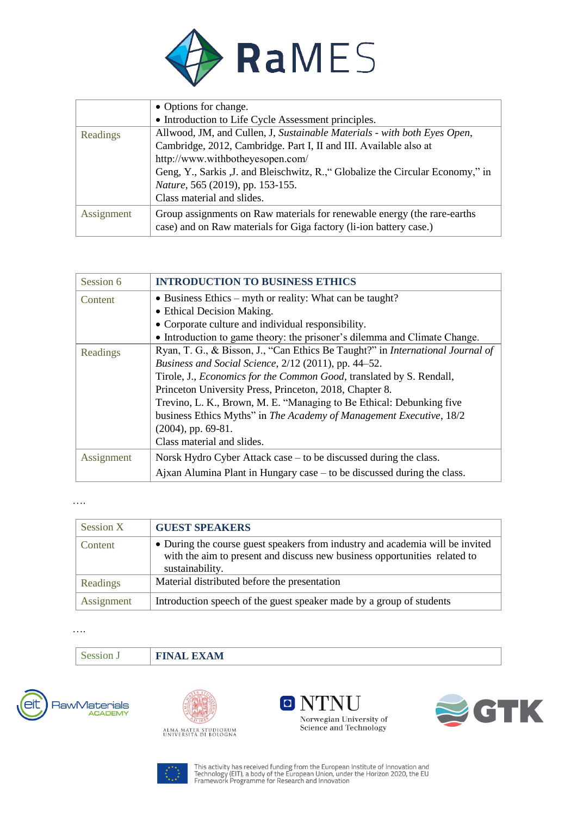

|            | • Options for change.                                                           |
|------------|---------------------------------------------------------------------------------|
|            | • Introduction to Life Cycle Assessment principles.                             |
| Readings   | Allwood, JM, and Cullen, J, Sustainable Materials - with both Eyes Open,        |
|            | Cambridge, 2012, Cambridge. Part I, II and III. Available also at               |
|            | http://www.withbotheyesopen.com/                                                |
|            | Geng, Y., Sarkis , J. and Bleischwitz, R., "Globalize the Circular Economy," in |
|            | Nature, 565 (2019), pp. 153-155.                                                |
|            | Class material and slides.                                                      |
| Assignment | Group assignments on Raw materials for renewable energy (the rare-earths        |
|            | case) and on Raw materials for Giga factory (li-ion battery case.)              |

| Session 6  | <b>INTRODUCTION TO BUSINESS ETHICS</b>                                                |
|------------|---------------------------------------------------------------------------------------|
| Content    | • Business Ethics – myth or reality: What can be taught?                              |
|            | • Ethical Decision Making.                                                            |
|            | • Corporate culture and individual responsibility.                                    |
|            | • Introduction to game theory: the prisoner's dilemma and Climate Change.             |
| Readings   | Ryan, T. G., & Bisson, J., "Can Ethics Be Taught?" in <i>International Journal of</i> |
|            | Business and Social Science, 2/12 (2011), pp. 44–52.                                  |
|            | Tirole, J., <i>Economics for the Common Good</i> , translated by S. Rendall,          |
|            | Princeton University Press, Princeton, 2018, Chapter 8.                               |
|            | Trevino, L. K., Brown, M. E. "Managing to Be Ethical: Debunking five                  |
|            | business Ethics Myths" in The Academy of Management Executive, 18/2                   |
|            | $(2004)$ , pp. 69-81.                                                                 |
|            | Class material and slides.                                                            |
| Assignment | Norsk Hydro Cyber Attack case – to be discussed during the class.                     |
|            | Ajxan Alumina Plant in Hungary case $-$ to be discussed during the class.             |

….

| Session X  | <b>GUEST SPEAKERS</b>                                                                                                                                                         |
|------------|-------------------------------------------------------------------------------------------------------------------------------------------------------------------------------|
| Content    | • During the course guest speakers from industry and academia will be invited<br>with the aim to present and discuss new business opportunities related to<br>sustainability. |
| Readings   | Material distributed before the presentation                                                                                                                                  |
| Assignment | Introduction speech of the guest speaker made by a group of students                                                                                                          |

….

Session J **FINAL EXAM**